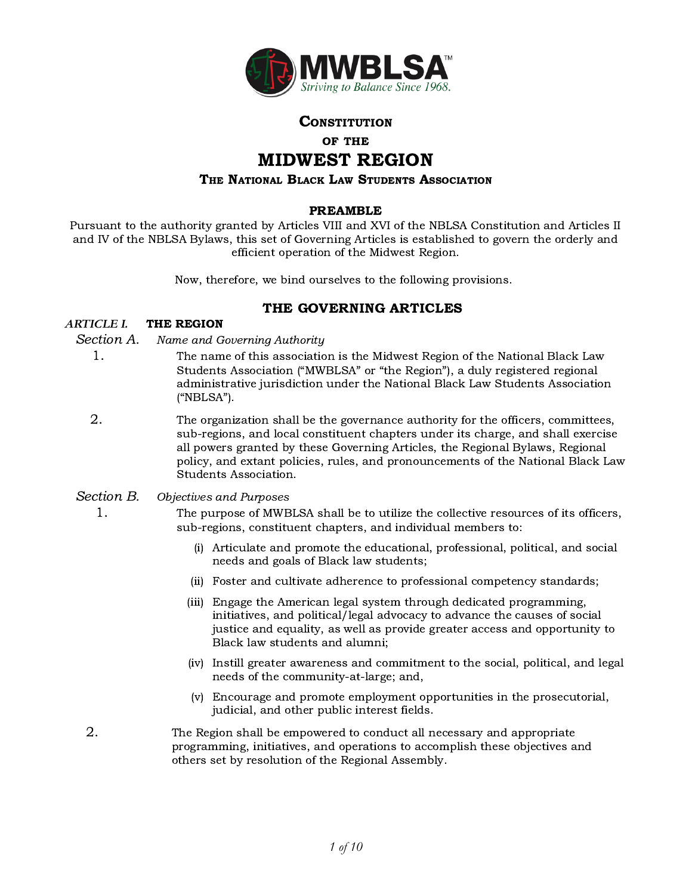

### **CONSTITUTION**

#### OF THE

# MIDWEST REGION

#### THE NATIONAL BLACK LAW STUDENTS ASSOCIATION

### PREAMBLE

Pursuant to the authority granted by Articles VIII and XVI of the NBLSA Constitution and Articles II and IV of the NBLSA Bylaws, this set of Governing Articles is established to govern the orderly and efficient operation of the Midwest Region.

Now, therefore, we bind ourselves to the following provisions.

# THE GOVERNING ARTICLES

### *ARTICLE I.* THE REGION

#### Section A. Name and Governing Authority

- 1. The name of this association is the Midwest Region of the National Black Law Students Association ("MWBLSA" or "the Region"), a duly registered regional administrative jurisdiction under the National Black Law Students Association ("NBLSA").
- 2. The organization shall be the governance authority for the officers, committees, sub-regions, and local constituent chapters under its charge, and shall exercise all powers granted by these Governing Articles, the Regional Bylaws, Regional policy, and extant policies, rules, and pronouncements of the National Black Law Students Association.
- Section B. Objectives and Purposes
	- 1. The purpose of MWBLSA shall be to utilize the collective resources of its officers, sub-regions, constituent chapters, and individual members to:
		- (i) Articulate and promote the educational, professional, political, and social needs and goals of Black law students;
		- (ii) Foster and cultivate adherence to professional competency standards;
		- (iii) Engage the American legal system through dedicated programming, initiatives, and political/legal advocacy to advance the causes of social justice and equality, as well as provide greater access and opportunity to Black law students and alumni;
		- (iv) Instill greater awareness and commitment to the social, political, and legal needs of the community-at-large; and,
		- (v) Encourage and promote employment opportunities in the prosecutorial, judicial, and other public interest fields.
	- 2. The Region shall be empowered to conduct all necessary and appropriate programming, initiatives, and operations to accomplish these objectives and others set by resolution of the Regional Assembly.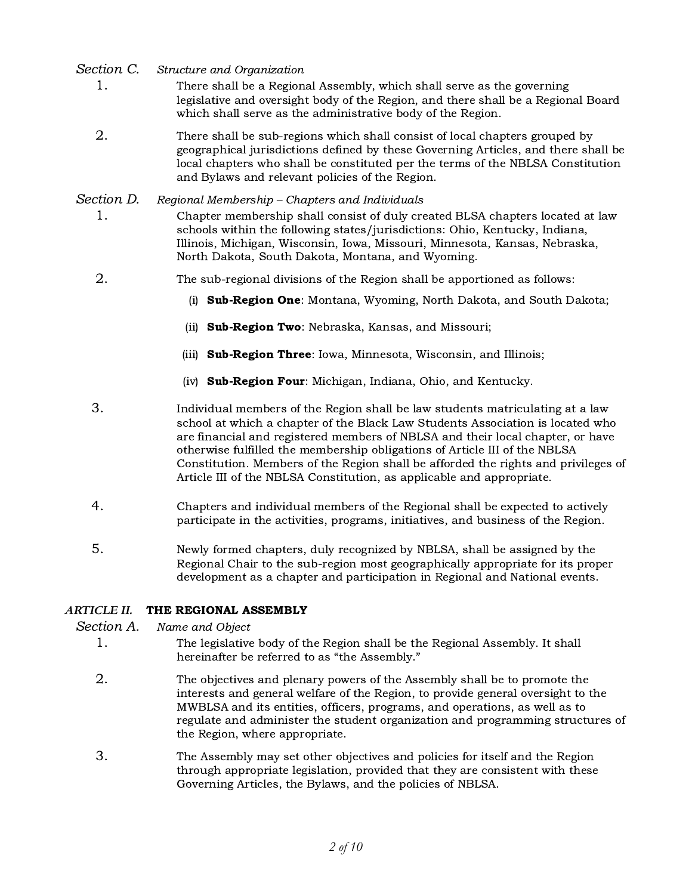Section C. Structure and Organization

- 1. There shall be a Regional Assembly, which shall serve as the governing legislative and oversight body of the Region, and there shall be a Regional Board which shall serve as the administrative body of the Region.
- 2. There shall be sub-regions which shall consist of local chapters grouped by geographical jurisdictions defined by these Governing Articles, and there shall be local chapters who shall be constituted per the terms of the NBLSA Constitution and Bylaws and relevant policies of the Region.

# Section D. Regional Membership - Chapters and Individuals

- 1. Chapter membership shall consist of duly created BLSA chapters located at law schools within the following states/jurisdictions: Ohio, Kentucky, Indiana, Illinois, Michigan, Wisconsin, Iowa, Missouri, Minnesota, Kansas, Nebraska, North Dakota, South Dakota, Montana, and Wyoming.
- 2. The sub-regional divisions of the Region shall be apportioned as follows:
	- (i) Sub-Region One: Montana, Wyoming, North Dakota, and South Dakota;
	- (ii) **Sub-Region Two**: Nebraska, Kansas, and Missouri;
	- (iii) **Sub-Region Three**: Iowa, Minnesota, Wisconsin, and Illinois;
	- (iv) Sub-Region Four: Michigan, Indiana, Ohio, and Kentucky.

3. Individual members of the Region shall be law students matriculating at a law school at which a chapter of the Black Law Students Association is located who are financial and registered members of NBLSA and their local chapter, or have otherwise fulfilled the membership obligations of Article III of the NBLSA Constitution. Members of the Region shall be afforded the rights and privileges of Article III of the NBLSA Constitution, as applicable and appropriate.

- 4. Chapters and individual members of the Regional shall be expected to actively participate in the activities, programs, initiatives, and business of the Region.
- 5. Newly formed chapters, duly recognized by NBLSA, shall be assigned by the Regional Chair to the sub-region most geographically appropriate for its proper development as a chapter and participation in Regional and National events.

# *ARTICLE II.* THE REGIONAL ASSEMBLY

Section A. Name and Object

- 1. The legislative body of the Region shall be the Regional Assembly. It shall hereinafter be referred to as "the Assembly."
- 2. The objectives and plenary powers of the Assembly shall be to promote the interests and general welfare of the Region, to provide general oversight to the MWBLSA and its entities, officers, programs, and operations, as well as to regulate and administer the student organization and programming structures of the Region, where appropriate.
- 3. The Assembly may set other objectives and policies for itself and the Region through appropriate legislation, provided that they are consistent with these Governing Articles, the Bylaws, and the policies of NBLSA.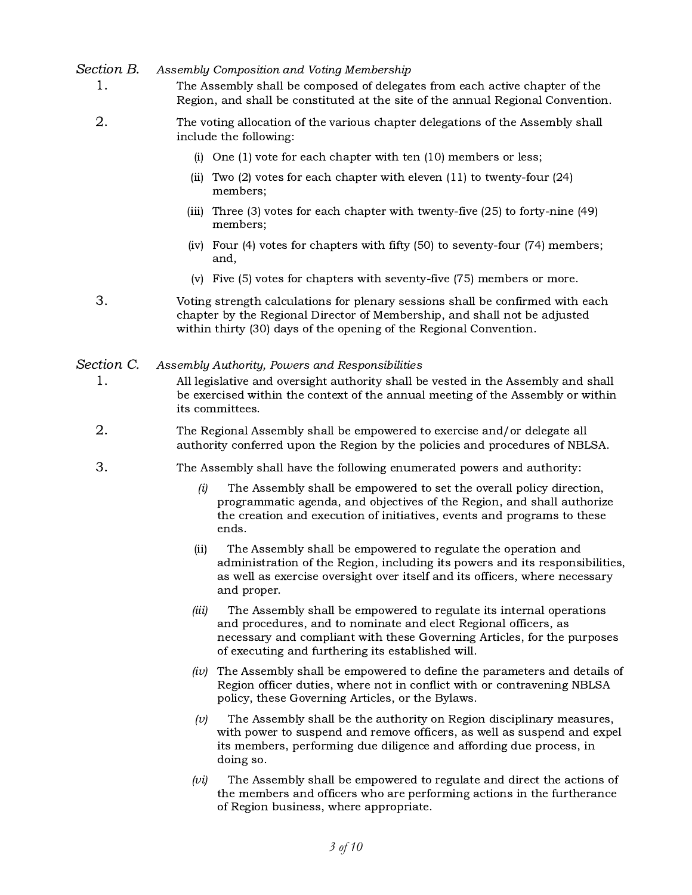### Section B. Assembly Composition and Voting Membership

- 1. The Assembly shall be composed of delegates from each active chapter of the Region, and shall be constituted at the site of the annual Regional Convention.
- 2. The voting allocation of the various chapter delegations of the Assembly shall include the following:
	- (i) One (1) vote for each chapter with ten (10) members or less;
	- (ii) Two (2) votes for each chapter with eleven (11) to twenty-four (24) members;
	- (iii) Three (3) votes for each chapter with twenty-five (25) to forty-nine (49) members;
	- (iv) Four (4) votes for chapters with fifty (50) to seventy-four (74) members; and,
	- (v) Five (5) votes for chapters with seventy-five (75) members or more.
- 3. Voting strength calculations for plenary sessions shall be confirmed with each chapter by the Regional Director of Membership, and shall not be adjusted within thirty (30) days of the opening of the Regional Convention.

#### Section C. Assembly Authority, Powers and Responsibilities

- 1. All legislative and oversight authority shall be vested in the Assembly and shall be exercised within the context of the annual meeting of the Assembly or within its committees.
- 2. The Regional Assembly shall be empowered to exercise and/or delegate all authority conferred upon the Region by the policies and procedures of NBLSA.
- 3. The Assembly shall have the following enumerated powers and authority:
	- (i) The Assembly shall be empowered to set the overall policy direction, programmatic agenda, and objectives of the Region, and shall authorize the creation and execution of initiatives, events and programs to these ends.
	- (ii) The Assembly shall be empowered to regulate the operation and administration of the Region, including its powers and its responsibilities, as well as exercise oversight over itself and its officers, where necessary and proper.
	- (iii) The Assembly shall be empowered to regulate its internal operations and procedures, and to nominate and elect Regional officers, as necessary and compliant with these Governing Articles, for the purposes of executing and furthering its established will.
	- (iv) The Assembly shall be empowered to define the parameters and details of Region officer duties, where not in conflict with or contravening NBLSA policy, these Governing Articles, or the Bylaws.
	- $(v)$  The Assembly shall be the authority on Region disciplinary measures, with power to suspend and remove officers, as well as suspend and expel its members, performing due diligence and affording due process, in doing so.
	- $(vi)$  The Assembly shall be empowered to regulate and direct the actions of the members and officers who are performing actions in the furtherance of Region business, where appropriate.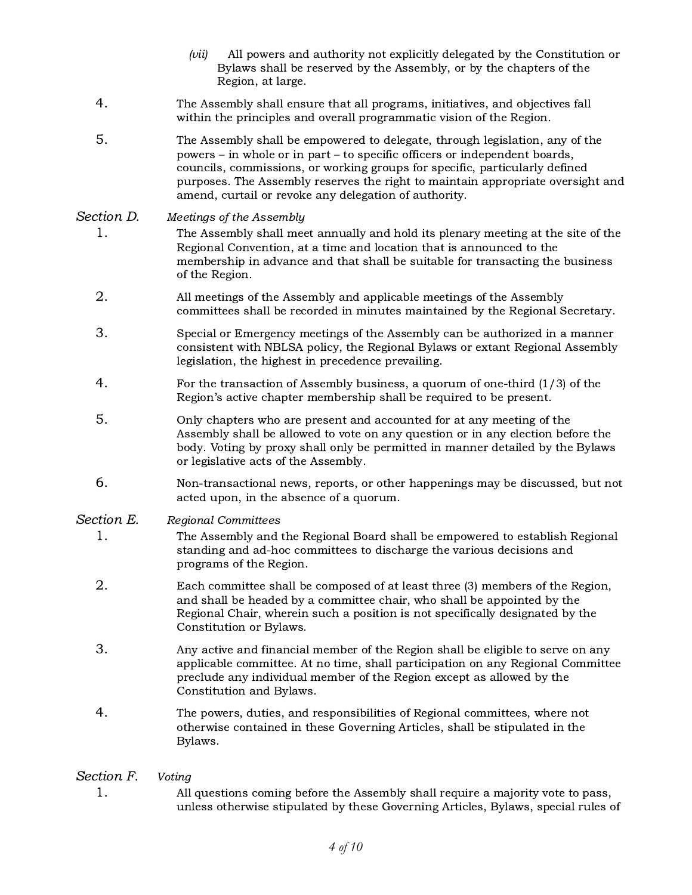- $(vii)$  All powers and authority not explicitly delegated by the Constitution or Bylaws shall be reserved by the Assembly, or by the chapters of the Region, at large.
- 4. The Assembly shall ensure that all programs, initiatives, and objectives fall within the principles and overall programmatic vision of the Region.
- 5. The Assembly shall be empowered to delegate, through legislation, any of the powers – in whole or in part – to specific officers or independent boards, councils, commissions, or working groups for specific, particularly defined purposes. The Assembly reserves the right to maintain appropriate oversight and amend, curtail or revoke any delegation of authority.

### Section D. Meetings of the Assembly

- 1. The Assembly shall meet annually and hold its plenary meeting at the site of the Regional Convention, at a time and location that is announced to the membership in advance and that shall be suitable for transacting the business of the Region.
- 2. All meetings of the Assembly and applicable meetings of the Assembly committees shall be recorded in minutes maintained by the Regional Secretary.
- 3. Special or Emergency meetings of the Assembly can be authorized in a manner consistent with NBLSA policy, the Regional Bylaws or extant Regional Assembly legislation, the highest in precedence prevailing.
- 4. For the transaction of Assembly business, a quorum of one-third (1/3) of the Region's active chapter membership shall be required to be present.
- 5. Only chapters who are present and accounted for at any meeting of the Assembly shall be allowed to vote on any question or in any election before the body. Voting by proxy shall only be permitted in manner detailed by the Bylaws or legislative acts of the Assembly.
- 6. Non-transactional news, reports, or other happenings may be discussed, but not acted upon, in the absence of a quorum.

Section E. Regional Committees

- 1. The Assembly and the Regional Board shall be empowered to establish Regional standing and ad-hoc committees to discharge the various decisions and programs of the Region.
- 2. Each committee shall be composed of at least three (3) members of the Region, and shall be headed by a committee chair, who shall be appointed by the Regional Chair, wherein such a position is not specifically designated by the Constitution or Bylaws.
- 3. Any active and financial member of the Region shall be eligible to serve on any applicable committee. At no time, shall participation on any Regional Committee preclude any individual member of the Region except as allowed by the Constitution and Bylaws.
- 4. The powers, duties, and responsibilities of Regional committees, where not otherwise contained in these Governing Articles, shall be stipulated in the Bylaws.

# Section F. Voting

1. All questions coming before the Assembly shall require a majority vote to pass, unless otherwise stipulated by these Governing Articles, Bylaws, special rules of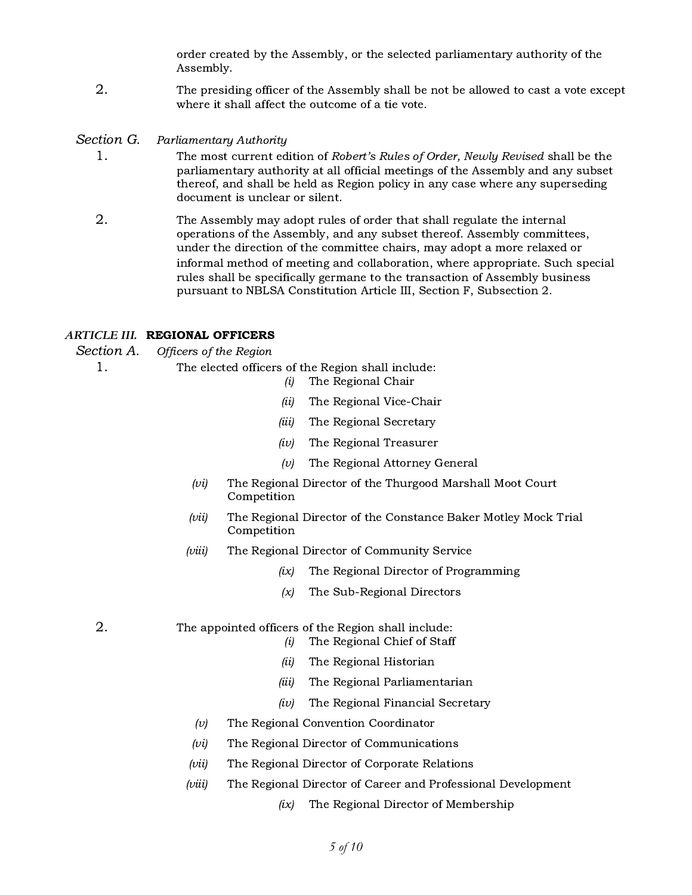order created by the Assembly, or the selected parliamentary authority of the Assembly.

- 2. The presiding officer of the Assembly shall be not be allowed to cast a vote except where it shall affect the outcome of a tie vote.
- Section G. Parliamentary Authority
	- 1. The most current edition of Robert's Rules of Order, Newly Revised shall be the parliamentary authority at all official meetings of the Assembly and any subset thereof, and shall be held as Region policy in any case where any superseding document is unclear or silent.
	- 2. The Assembly may adopt rules of order that shall regulate the internal operations of the Assembly, and any subset thereof. Assembly committees, under the direction of the committee chairs, may adopt a more relaxed or informal method of meeting and collaboration, where appropriate. Such special rules shall be specifically germane to the transaction of Assembly business pursuant to NBLSA Constitution Article III, Section F, Subsection 2.

#### *ARTICLE III.* REGIONAL OFFICERS

Section A. Officers of the Region

1. The elected officers of the Region shall include: (i) The Regional Chair

- 
- (ii) The Regional Vice-Chair
- (iii) The Regional Secretary
- $(iv)$  The Regional Treasurer
- $(v)$  The Regional Attorney General
- (vi) The Regional Director of the Thurgood Marshall Moot Court Competition
- (vii) The Regional Director of the Constance Baker Motley Mock Trial Competition
- (viii) The Regional Director of Community Service
	- (ix) The Regional Director of Programming
	- $(x)$  The Sub-Regional Directors
- 2. The appointed officers of the Region shall include:
	- $(i)$  The Regional Chief of Staff
	- (ii) The Regional Historian
	- (iii) The Regional Parliamentarian
	- (iv) The Regional Financial Secretary
	- $(v)$  The Regional Convention Coordinator
	- $(vi)$  The Regional Director of Communications
	- (vii) The Regional Director of Corporate Relations
	- (viii) The Regional Director of Career and Professional Development
		- $(ix)$  The Regional Director of Membership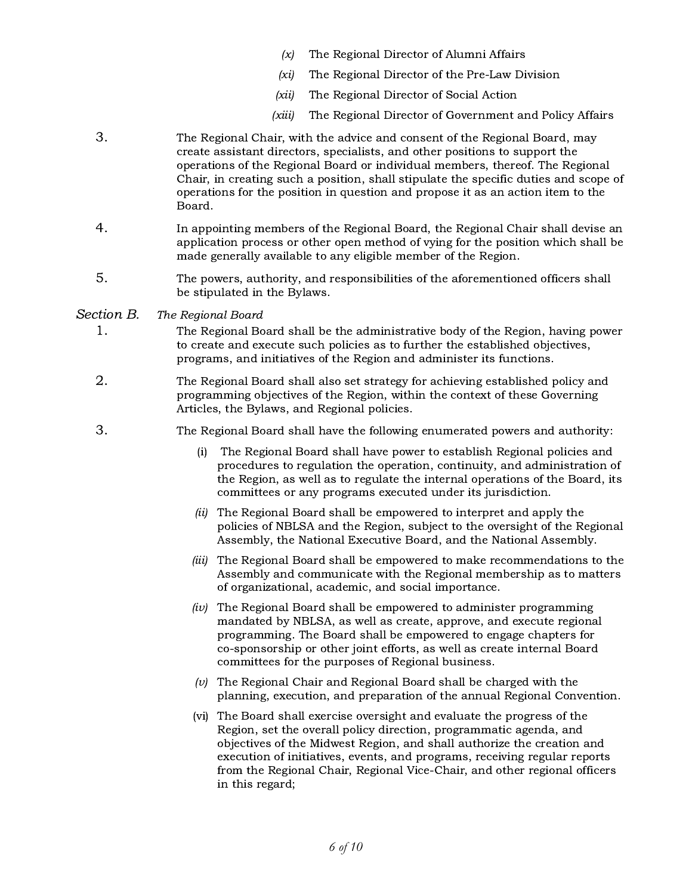- $(x)$  The Regional Director of Alumni Affairs
- (xi) The Regional Director of the Pre-Law Division
- (xii) The Regional Director of Social Action
- (xiii) The Regional Director of Government and Policy Affairs
- 3. The Regional Chair, with the advice and consent of the Regional Board, may create assistant directors, specialists, and other positions to support the operations of the Regional Board or individual members, thereof. The Regional Chair, in creating such a position, shall stipulate the specific duties and scope of operations for the position in question and propose it as an action item to the Board.
- 4. In appointing members of the Regional Board, the Regional Chair shall devise an application process or other open method of vying for the position which shall be made generally available to any eligible member of the Region.
- 5. The powers, authority, and responsibilities of the aforementioned officers shall be stipulated in the Bylaws.

#### Section B. The Regional Board

- 1. The Regional Board shall be the administrative body of the Region, having power to create and execute such policies as to further the established objectives, programs, and initiatives of the Region and administer its functions.
- 2. The Regional Board shall also set strategy for achieving established policy and programming objectives of the Region, within the context of these Governing Articles, the Bylaws, and Regional policies.
- 3. The Regional Board shall have the following enumerated powers and authority:
	- (i) The Regional Board shall have power to establish Regional policies and procedures to regulation the operation, continuity, and administration of the Region, as well as to regulate the internal operations of the Board, its committees or any programs executed under its jurisdiction.
	- (ii) The Regional Board shall be empowered to interpret and apply the policies of NBLSA and the Region, subject to the oversight of the Regional Assembly, the National Executive Board, and the National Assembly.
	- (iii) The Regional Board shall be empowered to make recommendations to the Assembly and communicate with the Regional membership as to matters of organizational, academic, and social importance.
	- $(iv)$  The Regional Board shall be empowered to administer programming mandated by NBLSA, as well as create, approve, and execute regional programming. The Board shall be empowered to engage chapters for co-sponsorship or other joint efforts, as well as create internal Board committees for the purposes of Regional business.
	- $(v)$  The Regional Chair and Regional Board shall be charged with the planning, execution, and preparation of the annual Regional Convention.
	- (vi) The Board shall exercise oversight and evaluate the progress of the Region, set the overall policy direction, programmatic agenda, and objectives of the Midwest Region, and shall authorize the creation and execution of initiatives, events, and programs, receiving regular reports from the Regional Chair, Regional Vice-Chair, and other regional officers in this regard;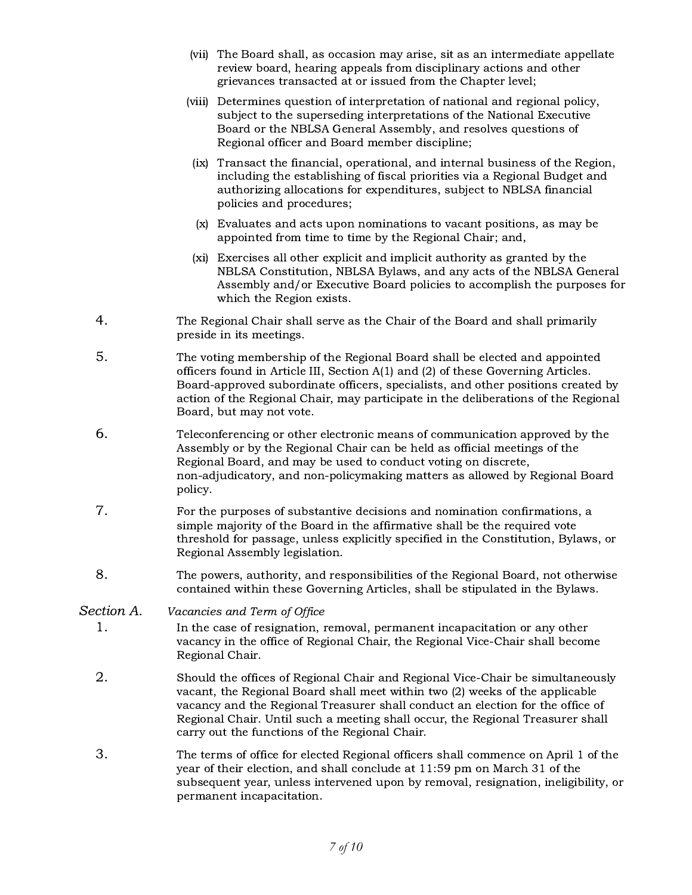- (vii) The Board shall, as occasion may arise, sit as an intermediate appellate review board, hearing appeals from disciplinary actions and other grievances transacted at or issued from the Chapter level;
- (viii) Determines question of interpretation of national and regional policy, subject to the superseding interpretations of the National Executive Board or the NBLSA General Assembly, and resolves questions of Regional officer and Board member discipline;
- (ix) Transact the financial, operational, and internal business of the Region, including the establishing of fiscal priorities via a Regional Budget and authorizing allocations for expenditures, subject to NBLSA financial policies and procedures;
- (x) Evaluates and acts upon nominations to vacant positions, as may be appointed from time to time by the Regional Chair; and,
- (xi) Exercises all other explicit and implicit authority as granted by the NBLSA Constitution, NBLSA Bylaws, and any acts of the NBLSA General Assembly and/or Executive Board policies to accomplish the purposes for which the Region exists.
- 4. The Regional Chair shall serve as the Chair of the Board and shall primarily preside in its meetings.
- 5. The voting membership of the Regional Board shall be elected and appointed officers found in Article III, Section A(1) and (2) of these Governing Articles. Board-approved subordinate officers, specialists, and other positions created by action of the Regional Chair, may participate in the deliberations of the Regional Board, but may not vote.
- 6. Teleconferencing or other electronic means of communication approved by the Assembly or by the Regional Chair can be held as official meetings of the Regional Board, and may be used to conduct voting on discrete, non-adjudicatory, and non-policymaking matters as allowed by Regional Board policy.
- 7. For the purposes of substantive decisions and nomination confirmations, a simple majority of the Board in the affirmative shall be the required vote threshold for passage, unless explicitly specified in the Constitution, Bylaws, or Regional Assembly legislation.
- 8. The powers, authority, and responsibilities of the Regional Board, not otherwise contained within these Governing Articles, shall be stipulated in the Bylaws.

# Section A. Vacancies and Term of Office

- 1. In the case of resignation, removal, permanent incapacitation or any other vacancy in the office of Regional Chair, the Regional Vice-Chair shall become Regional Chair.
- 2. Should the offices of Regional Chair and Regional Vice-Chair be simultaneously vacant, the Regional Board shall meet within two (2) weeks of the applicable vacancy and the Regional Treasurer shall conduct an election for the office of Regional Chair. Until such a meeting shall occur, the Regional Treasurer shall carry out the functions of the Regional Chair.
- 3. The terms of office for elected Regional officers shall commence on April 1 of the year of their election, and shall conclude at 11:59 pm on March 31 of the subsequent year, unless intervened upon by removal, resignation, ineligibility, or permanent incapacitation.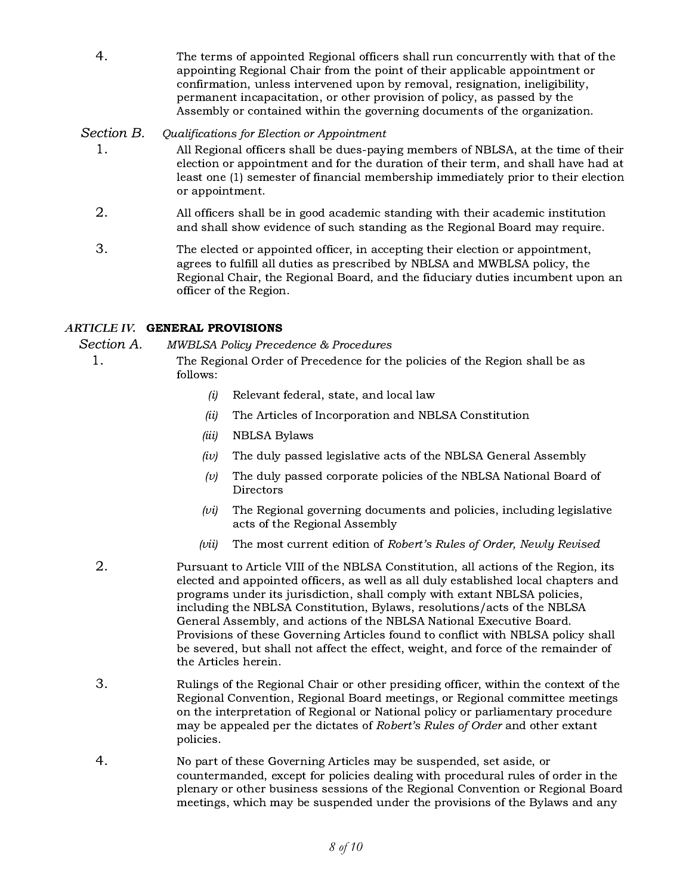- 
- 4. The terms of appointed Regional officers shall run concurrently with that of the appointing Regional Chair from the point of their applicable appointment or confirmation, unless intervened upon by removal, resignation, ineligibility, permanent incapacitation, or other provision of policy, as passed by the Assembly or contained within the governing documents of the organization.

# Section B. Qualifications for Election or Appointment

- 1. All Regional officers shall be dues-paying members of NBLSA, at the time of their election or appointment and for the duration of their term, and shall have had at least one (1) semester of financial membership immediately prior to their election or appointment.
- 2. All officers shall be in good academic standing with their academic institution and shall show evidence of such standing as the Regional Board may require.
- 3. The elected or appointed officer, in accepting their election or appointment, agrees to fulfill all duties as prescribed by NBLSA and MWBLSA policy, the Regional Chair, the Regional Board, and the fiduciary duties incumbent upon an officer of the Region.

# *ARTICLE IV.* GENERAL PROVISIONS

Section A. MWBLSA Policy Precedence & Procedures

- 1. The Regional Order of Precedence for the policies of the Region shall be as follows:
	- $(i)$  Relevant federal, state, and local law
	- (ii) The Articles of Incorporation and NBLSA Constitution
	- (iii) NBLSA Bylaws
	- $(iv)$  The duly passed legislative acts of the NBLSA General Assembly
	- $(v)$  The duly passed corporate policies of the NBLSA National Board of **Directors**
	- $(vi)$  The Regional governing documents and policies, including legislative acts of the Regional Assembly
	- (vii) The most current edition of Robert's Rules of Order, Newly Revised
	- 2. Pursuant to Article VIII of the NBLSA Constitution, all actions of the Region, its elected and appointed officers, as well as all duly established local chapters and programs under its jurisdiction, shall comply with extant NBLSA policies, including the NBLSA Constitution, Bylaws, resolutions/acts of the NBLSA General Assembly, and actions of the NBLSA National Executive Board. Provisions of these Governing Articles found to conflict with NBLSA policy shall be severed, but shall not affect the effect, weight, and force of the remainder of the Articles herein.
	- 3. Rulings of the Regional Chair or other presiding officer, within the context of the Regional Convention, Regional Board meetings, or Regional committee meetings on the interpretation of Regional or National policy or parliamentary procedure may be appealed per the dictates of Robert's Rules of Order and other extant policies.
	- 4. No part of these Governing Articles may be suspended, set aside, or countermanded, except for policies dealing with procedural rules of order in the plenary or other business sessions of the Regional Convention or Regional Board meetings, which may be suspended under the provisions of the Bylaws and any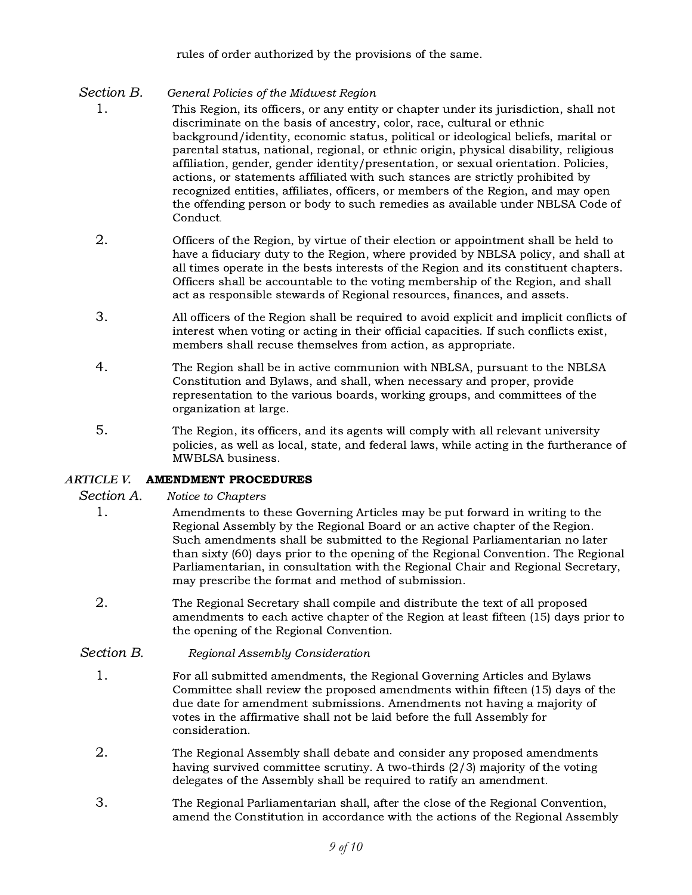rules of order authorized by the provisions of the same.

# Section B. General Policies of the Midwest Region

- 1. This Region, its officers, or any entity or chapter under its jurisdiction, shall not discriminate on the basis of ancestry, color, race, cultural or ethnic background/identity, economic status, political or ideological beliefs, marital or parental status, national, regional, or ethnic origin, physical disability, religious affiliation, gender, gender identity/presentation, or sexual orientation. Policies, actions, or statements affiliated with such stances are strictly prohibited by recognized entities, affiliates, officers, or members of the Region, and may open the offending person or body to such remedies as available under NBLSA Code of Conduct.
- 2. Officers of the Region, by virtue of their election or appointment shall be held to have a fiduciary duty to the Region, where provided by NBLSA policy, and shall at all times operate in the bests interests of the Region and its constituent chapters. Officers shall be accountable to the voting membership of the Region, and shall act as responsible stewards of Regional resources, finances, and assets.
- 3. All officers of the Region shall be required to avoid explicit and implicit conflicts of interest when voting or acting in their official capacities. If such conflicts exist, members shall recuse themselves from action, as appropriate.
- 4. The Region shall be in active communion with NBLSA, pursuant to the NBLSA Constitution and Bylaws, and shall, when necessary and proper, provide representation to the various boards, working groups, and committees of the organization at large.
- 5. The Region, its officers, and its agents will comply with all relevant university policies, as well as local, state, and federal laws, while acting in the furtherance of MWBLSA business.

# *ARTICLE V.* AMENDMENT PROCEDURES

# Section A. Notice to Chapters

- 1. Amendments to these Governing Articles may be put forward in writing to the Regional Assembly by the Regional Board or an active chapter of the Region. Such amendments shall be submitted to the Regional Parliamentarian no later than sixty (60) days prior to the opening of the Regional Convention. The Regional Parliamentarian, in consultation with the Regional Chair and Regional Secretary, may prescribe the format and method of submission.
- 2. The Regional Secretary shall compile and distribute the text of all proposed amendments to each active chapter of the Region at least fifteen (15) days prior to the opening of the Regional Convention.

# Section B. Regional Assembly Consideration

- 1. For all submitted amendments, the Regional Governing Articles and Bylaws Committee shall review the proposed amendments within fifteen (15) days of the due date for amendment submissions. Amendments not having a majority of votes in the affirmative shall not be laid before the full Assembly for consideration.
- 2. The Regional Assembly shall debate and consider any proposed amendments having survived committee scrutiny. A two-thirds (2/3) majority of the voting delegates of the Assembly shall be required to ratify an amendment.
- 3. The Regional Parliamentarian shall, after the close of the Regional Convention, amend the Constitution in accordance with the actions of the Regional Assembly